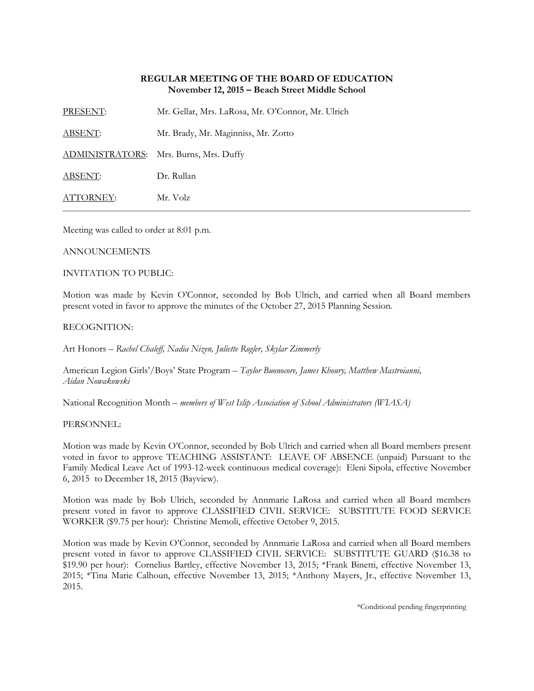# **REGULAR MEETING OF THE BOARD OF EDUCATION November 12, 2015 – Beach Street Middle School**

PRESENT: Mr. Gellar, Mrs. LaRosa, Mr. O'Connor, Mr. Ulrich

ABSENT: Mr. Brady, Mr. Maginniss, Mr. Zotto

ADMINISTRATORS: Mrs. Burns, Mrs. Duffy

ABSENT: Dr. Rullan

ATTORNEY: Mr. Volz

Meeting was called to order at 8:01 p.m.

## ANNOUNCEMENTS

# INVITATION TO PUBLIC:

Motion was made by Kevin O'Connor, seconded by Bob Ulrich, and carried when all Board members present voted in favor to approve the minutes of the October 27, 2015 Planning Session.

# RECOGNITION:

Art Honors – *Rachel Chaleff, Nadia Nizen, Juliette Rogler, Skylar Zimmerly*

American Legion Girls'/Boys' State Program – *Taylor Buonocore, James Khoury, Matthew Mastroianni, Aidan Nowakowski*

National Recognition Month – *members of West Islip Association of School Administrators (WIASA)*

## PERSONNEL:

Motion was made by Kevin O'Connor, seconded by Bob Ulrich and carried when all Board members present voted in favor to approve TEACHING ASSISTANT: LEAVE OF ABSENCE (unpaid) Pursuant to the Family Medical Leave Act of 1993-12-week continuous medical coverage): Eleni Sipola, effective November 6, 2015 to December 18, 2015 (Bayview).

Motion was made by Bob Ulrich, seconded by Annmarie LaRosa and carried when all Board members present voted in favor to approve CLASSIFIED CIVIL SERVICE: SUBSTITUTE FOOD SERVICE WORKER (\$9.75 per hour): Christine Memoli, effective October 9, 2015.

Motion was made by Kevin O'Connor, seconded by Annmarie LaRosa and carried when all Board members present voted in favor to approve CLASSIFIED CIVIL SERVICE: SUBSTITUTE GUARD (\$16.38 to \$19.90 per hour): Cornelius Bartley, effective November 13, 2015; \*Frank Binetti, effective November 13, 2015; \*Tina Marie Calhoun, effective November 13, 2015; \*Anthony Mayers, Jr., effective November 13, 2015.

\*Conditional pending fingerprinting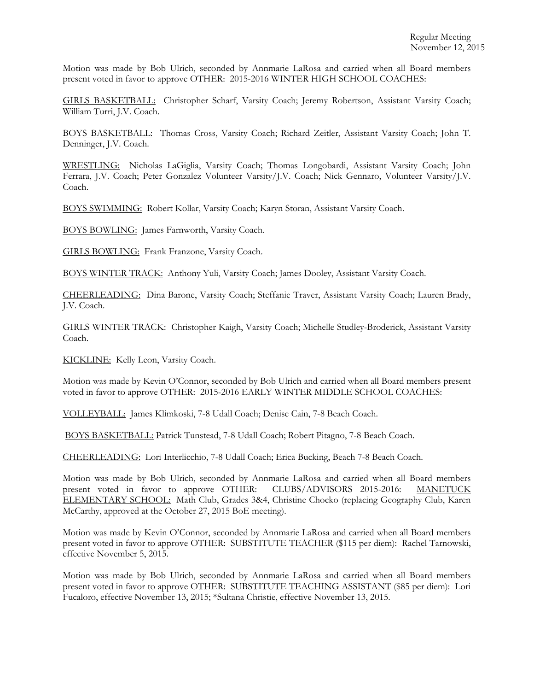Motion was made by Bob Ulrich, seconded by Annmarie LaRosa and carried when all Board members present voted in favor to approve OTHER: 2015-2016 WINTER HIGH SCHOOL COACHES:

GIRLS BASKETBALL: Christopher Scharf, Varsity Coach; Jeremy Robertson, Assistant Varsity Coach; William Turri, J.V. Coach.

BOYS BASKETBALL: Thomas Cross, Varsity Coach; Richard Zeitler, Assistant Varsity Coach; John T. Denninger, J.V. Coach.

WRESTLING: Nicholas LaGiglia, Varsity Coach; Thomas Longobardi, Assistant Varsity Coach; John Ferrara, J.V. Coach; Peter Gonzalez Volunteer Varsity/J.V. Coach; Nick Gennaro, Volunteer Varsity/J.V. Coach.

BOYS SWIMMING: Robert Kollar, Varsity Coach; Karyn Storan, Assistant Varsity Coach.

BOYS BOWLING: James Farnworth, Varsity Coach.

GIRLS BOWLING: Frank Franzone, Varsity Coach.

BOYS WINTER TRACK: Anthony Yuli, Varsity Coach; James Dooley, Assistant Varsity Coach.

CHEERLEADING: Dina Barone, Varsity Coach; Steffanie Traver, Assistant Varsity Coach; Lauren Brady, J.V. Coach.

GIRLS WINTER TRACK: Christopher Kaigh, Varsity Coach; Michelle Studley-Broderick, Assistant Varsity Coach.

KICKLINE: Kelly Leon, Varsity Coach.

Motion was made by Kevin O'Connor, seconded by Bob Ulrich and carried when all Board members present voted in favor to approve OTHER: 2015-2016 EARLY WINTER MIDDLE SCHOOL COACHES:

VOLLEYBALL: James Klimkoski, 7-8 Udall Coach; Denise Cain, 7-8 Beach Coach.

BOYS BASKETBALL: Patrick Tunstead, 7-8 Udall Coach; Robert Pitagno, 7-8 Beach Coach.

CHEERLEADING: Lori Interlicchio, 7-8 Udall Coach; Erica Bucking, Beach 7-8 Beach Coach.

Motion was made by Bob Ulrich, seconded by Annmarie LaRosa and carried when all Board members present voted in favor to approve OTHER: CLUBS/ADVISORS 2015-2016: MANETUCK ELEMENTARY SCHOOL: Math Club, Grades 3&4, Christine Chocko (replacing Geography Club, Karen McCarthy, approved at the October 27, 2015 BoE meeting).

Motion was made by Kevin O'Connor, seconded by Annmarie LaRosa and carried when all Board members present voted in favor to approve OTHER: SUBSTITUTE TEACHER (\$115 per diem): Rachel Tarnowski, effective November 5, 2015.

Motion was made by Bob Ulrich, seconded by Annmarie LaRosa and carried when all Board members present voted in favor to approve OTHER: SUBSTITUTE TEACHING ASSISTANT (\$85 per diem): Lori Fucaloro, effective November 13, 2015; \*Sultana Christie, effective November 13, 2015.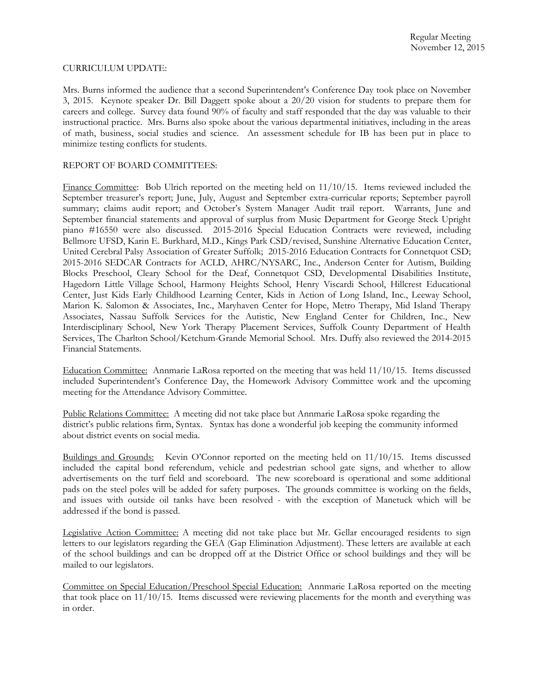#### CURRICULUM UPDATE:

Mrs. Burns informed the audience that a second Superintendent's Conference Day took place on November 3, 2015. Keynote speaker Dr. Bill Daggett spoke about a 20/20 vision for students to prepare them for careers and college. Survey data found 90% of faculty and staff responded that the day was valuable to their instructional practice. Mrs. Burns also spoke about the various departmental initiatives, including in the areas of math, business, social studies and science. An assessment schedule for IB has been put in place to minimize testing conflicts for students.

## REPORT OF BOARD COMMITTEES:

Finance Committee: Bob Ulrich reported on the meeting held on  $11/10/15$ . Items reviewed included the September treasurer's report; June, July, August and September extra-curricular reports; September payroll summary; claims audit report; and October's System Manager Audit trail report. Warrants, June and September financial statements and approval of surplus from Music Department for George Steck Upright piano #16550 were also discussed. 2015-2016 Special Education Contracts were reviewed, including Bellmore UFSD, Karin E. Burkhard, M.D., Kings Park CSD/revised, Sunshine Alternative Education Center, United Cerebral Palsy Association of Greater Suffolk; 2015-2016 Education Contracts for Connetquot CSD; 2015-2016 SEDCAR Contracts for ACLD, AHRC/NYSARC, Inc., Anderson Center for Autism, Building Blocks Preschool, Cleary School for the Deaf, Connetquot CSD, Developmental Disabilities Institute, Hagedorn Little Village School, Harmony Heights School, Henry Viscardi School, Hillcrest Educational Center, Just Kids Early Childhood Learning Center, Kids in Action of Long Island, Inc., Leeway School, Marion K. Salomon & Associates, Inc., Maryhaven Center for Hope, Metro Therapy, Mid Island Therapy Associates, Nassau Suffolk Services for the Autistic, New England Center for Children, Inc., New Interdisciplinary School, New York Therapy Placement Services, Suffolk County Department of Health Services, The Charlton School/Ketchum-Grande Memorial School. Mrs. Duffy also reviewed the 2014-2015 Financial Statements.

Education Committee: Annmarie LaRosa reported on the meeting that was held 11/10/15. Items discussed included Superintendent's Conference Day, the Homework Advisory Committee work and the upcoming meeting for the Attendance Advisory Committee.

Public Relations Committee: A meeting did not take place but Annmarie LaRosa spoke regarding the district's public relations firm, Syntax. Syntax has done a wonderful job keeping the community informed about district events on social media.

Buildings and Grounds: Kevin O'Connor reported on the meeting held on 11/10/15. Items discussed included the capital bond referendum, vehicle and pedestrian school gate signs, and whether to allow advertisements on the turf field and scoreboard. The new scoreboard is operational and some additional pads on the steel poles will be added for safety purposes. The grounds committee is working on the fields, and issues with outside oil tanks have been resolved - with the exception of Manetuck which will be addressed if the bond is passed.

Legislative Action Committee: A meeting did not take place but Mr. Gellar encouraged residents to sign letters to our legislators regarding the GEA (Gap Elimination Adjustment). These letters are available at each of the school buildings and can be dropped off at the District Office or school buildings and they will be mailed to our legislators.

Committee on Special Education/Preschool Special Education: Annmarie LaRosa reported on the meeting that took place on 11/10/15. Items discussed were reviewing placements for the month and everything was in order.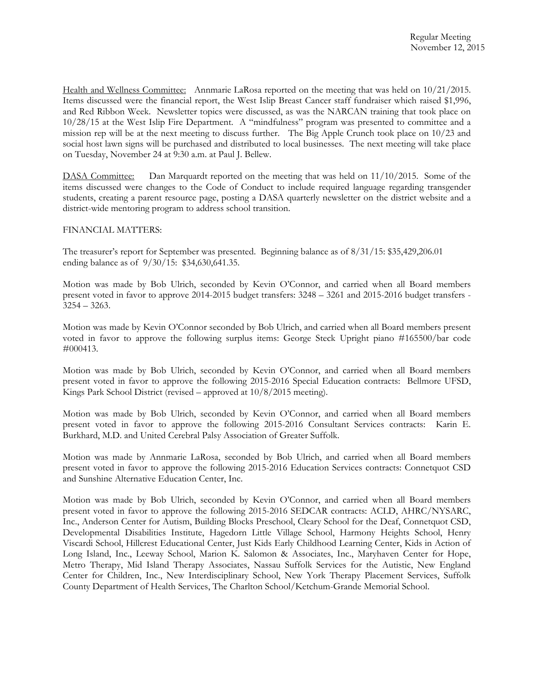Health and Wellness Committee: Annmarie LaRosa reported on the meeting that was held on 10/21/2015. Items discussed were the financial report, the West Islip Breast Cancer staff fundraiser which raised \$1,996, and Red Ribbon Week. Newsletter topics were discussed, as was the NARCAN training that took place on 10/28/15 at the West Islip Fire Department. A "mindfulness" program was presented to committee and a mission rep will be at the next meeting to discuss further. The Big Apple Crunch took place on 10/23 and social host lawn signs will be purchased and distributed to local businesses. The next meeting will take place on Tuesday, November 24 at 9:30 a.m. at Paul J. Bellew.

DASA Committee: Dan Marquardt reported on the meeting that was held on  $11/10/2015$ . Some of the items discussed were changes to the Code of Conduct to include required language regarding transgender students, creating a parent resource page, posting a DASA quarterly newsletter on the district website and a district-wide mentoring program to address school transition.

## FINANCIAL MATTERS:

The treasurer's report for September was presented. Beginning balance as of 8/31/15: \$35,429,206.01 ending balance as of 9/30/15: \$34,630,641.35.

Motion was made by Bob Ulrich, seconded by Kevin O'Connor, and carried when all Board members present voted in favor to approve 2014-2015 budget transfers: 3248 – 3261 and 2015-2016 budget transfers - 3254 – 3263.

Motion was made by Kevin O'Connor seconded by Bob Ulrich, and carried when all Board members present voted in favor to approve the following surplus items: George Steck Upright piano #165500/bar code #000413.

Motion was made by Bob Ulrich, seconded by Kevin O'Connor, and carried when all Board members present voted in favor to approve the following 2015-2016 Special Education contracts: Bellmore UFSD, Kings Park School District (revised – approved at 10/8/2015 meeting).

Motion was made by Bob Ulrich, seconded by Kevin O'Connor, and carried when all Board members present voted in favor to approve the following 2015-2016 Consultant Services contracts: Karin E. Burkhard, M.D. and United Cerebral Palsy Association of Greater Suffolk.

Motion was made by Annmarie LaRosa, seconded by Bob Ulrich, and carried when all Board members present voted in favor to approve the following 2015-2016 Education Services contracts: Connetquot CSD and Sunshine Alternative Education Center, Inc.

Motion was made by Bob Ulrich, seconded by Kevin O'Connor, and carried when all Board members present voted in favor to approve the following 2015-2016 SEDCAR contracts: ACLD, AHRC/NYSARC, Inc., Anderson Center for Autism, Building Blocks Preschool, Cleary School for the Deaf, Connetquot CSD, Developmental Disabilities Institute, Hagedorn Little Village School, Harmony Heights School, Henry Viscardi School, Hillcrest Educational Center, Just Kids Early Childhood Learning Center, Kids in Action of Long Island, Inc., Leeway School, Marion K. Salomon & Associates, Inc., Maryhaven Center for Hope, Metro Therapy, Mid Island Therapy Associates, Nassau Suffolk Services for the Autistic, New England Center for Children, Inc., New Interdisciplinary School, New York Therapy Placement Services, Suffolk County Department of Health Services, The Charlton School/Ketchum-Grande Memorial School.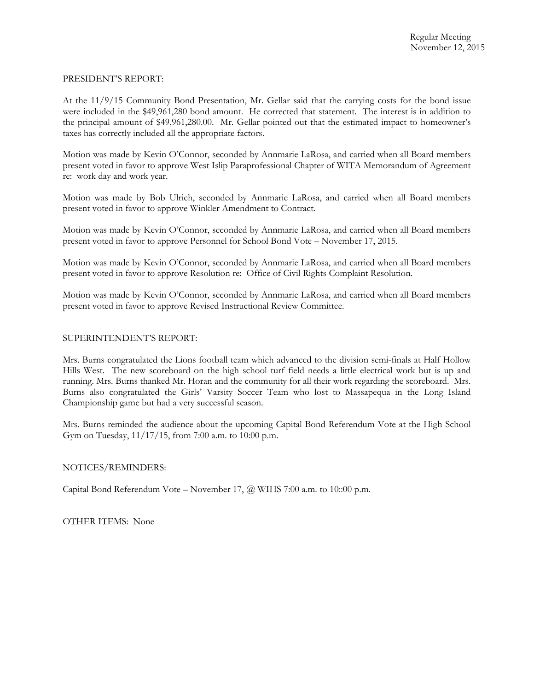### PRESIDENT'S REPORT:

At the 11/9/15 Community Bond Presentation, Mr. Gellar said that the carrying costs for the bond issue were included in the \$49,961,280 bond amount. He corrected that statement. The interest is in addition to the principal amount of \$49,961,280.00. Mr. Gellar pointed out that the estimated impact to homeowner's taxes has correctly included all the appropriate factors.

Motion was made by Kevin O'Connor, seconded by Annmarie LaRosa, and carried when all Board members present voted in favor to approve West Islip Paraprofessional Chapter of WITA Memorandum of Agreement re: work day and work year.

Motion was made by Bob Ulrich, seconded by Annmarie LaRosa, and carried when all Board members present voted in favor to approve Winkler Amendment to Contract.

Motion was made by Kevin O'Connor, seconded by Annmarie LaRosa, and carried when all Board members present voted in favor to approve Personnel for School Bond Vote – November 17, 2015.

Motion was made by Kevin O'Connor, seconded by Annmarie LaRosa, and carried when all Board members present voted in favor to approve Resolution re: Office of Civil Rights Complaint Resolution.

Motion was made by Kevin O'Connor, seconded by Annmarie LaRosa, and carried when all Board members present voted in favor to approve Revised Instructional Review Committee.

## SUPERINTENDENT'S REPORT:

Mrs. Burns congratulated the Lions football team which advanced to the division semi-finals at Half Hollow Hills West. The new scoreboard on the high school turf field needs a little electrical work but is up and running. Mrs. Burns thanked Mr. Horan and the community for all their work regarding the scoreboard. Mrs. Burns also congratulated the Girls' Varsity Soccer Team who lost to Massapequa in the Long Island Championship game but had a very successful season.

Mrs. Burns reminded the audience about the upcoming Capital Bond Referendum Vote at the High School Gym on Tuesday, 11/17/15, from 7:00 a.m. to 10:00 p.m.

## NOTICES/REMINDERS:

Capital Bond Referendum Vote – November 17, @ WIHS 7:00 a.m. to 10::00 p.m.

OTHER ITEMS: None